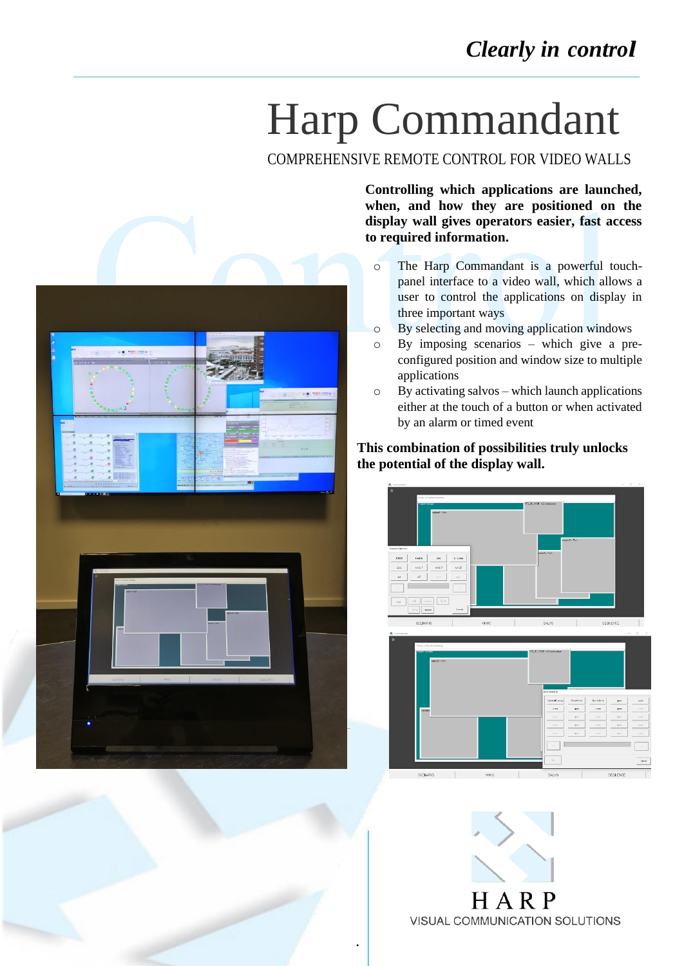## Harp Commandant

COMPREHENSIVE REMOTE CONTROL FOR VIDEO WALLS





**Controlling which applications are launched, when, and how they are positioned on the display wall gives operators easier, fast access to required information.**

- o The Harp Commandant is a powerful touchpanel interface to a video wall, which allows a user to control the applications on display in three important ways
- o By selecting and moving application windows
- o By imposing scenarios which give a preconfigured position and window size to multiple applications
- $\circ$  By activating salvos which launch applications either at the touch of a button or when activated by an alarm or timed event

## **This combination of possibilities truly unlocks the potential of the display wall.**



H A R VISUAL COMMUNICATION SOLUTIONS